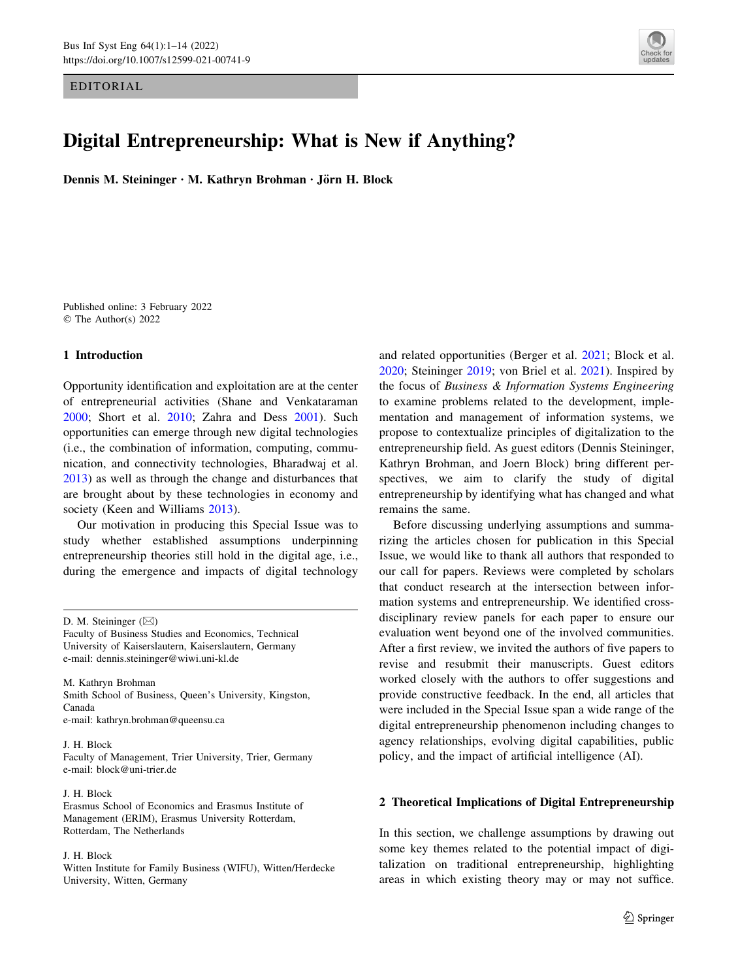EDITORIAL



# Digital Entrepreneurship: What is New if Anything?

Dennis M. Steininger · M. Kathryn Brohman · Jörn H. Block

Published online: 3 February 2022 © The Author(s) 2022

## 1 Introduction

Opportunity identification and exploitation are at the center of entrepreneurial activities (Shane and Venkataraman [2000;](#page-12-0) Short et al. [2010](#page-12-0); Zahra and Dess [2001\)](#page-13-0). Such opportunities can emerge through new digital technologies (i.e., the combination of information, computing, communication, and connectivity technologies, Bharadwaj et al. [2013\)](#page-11-0) as well as through the change and disturbances that are brought about by these technologies in economy and society (Keen and Williams [2013](#page-11-0)).

Our motivation in producing this Special Issue was to study whether established assumptions underpinning entrepreneurship theories still hold in the digital age, i.e., during the emergence and impacts of digital technology

M. Kathryn Brohman Smith School of Business, Queen's University, Kingston, Canada e-mail: kathryn.brohman@queensu.ca

# J. H. Block

Faculty of Management, Trier University, Trier, Germany e-mail: block@uni-trier.de

### J. H. Block

Erasmus School of Economics and Erasmus Institute of Management (ERIM), Erasmus University Rotterdam, Rotterdam, The Netherlands

### J. H. Block

Witten Institute for Family Business (WIFU), Witten/Herdecke University, Witten, Germany

and related opportunities (Berger et al. [2021;](#page-11-0) Block et al. [2020](#page-11-0); Steininger [2019;](#page-12-0) von Briel et al. [2021\)](#page-12-0). Inspired by the focus of Business & Information Systems Engineering to examine problems related to the development, implementation and management of information systems, we propose to contextualize principles of digitalization to the entrepreneurship field. As guest editors (Dennis Steininger, Kathryn Brohman, and Joern Block) bring different perspectives, we aim to clarify the study of digital entrepreneurship by identifying what has changed and what remains the same.

Before discussing underlying assumptions and summarizing the articles chosen for publication in this Special Issue, we would like to thank all authors that responded to our call for papers. Reviews were completed by scholars that conduct research at the intersection between information systems and entrepreneurship. We identified crossdisciplinary review panels for each paper to ensure our evaluation went beyond one of the involved communities. After a first review, we invited the authors of five papers to revise and resubmit their manuscripts. Guest editors worked closely with the authors to offer suggestions and provide constructive feedback. In the end, all articles that were included in the Special Issue span a wide range of the digital entrepreneurship phenomenon including changes to agency relationships, evolving digital capabilities, public policy, and the impact of artificial intelligence (AI).

# 2 Theoretical Implications of Digital Entrepreneurship

In this section, we challenge assumptions by drawing out some key themes related to the potential impact of digitalization on traditional entrepreneurship, highlighting areas in which existing theory may or may not suffice.

D. M. Steininger  $(\boxtimes)$ 

Faculty of Business Studies and Economics, Technical University of Kaiserslautern, Kaiserslautern, Germany e-mail: dennis.steininger@wiwi.uni-kl.de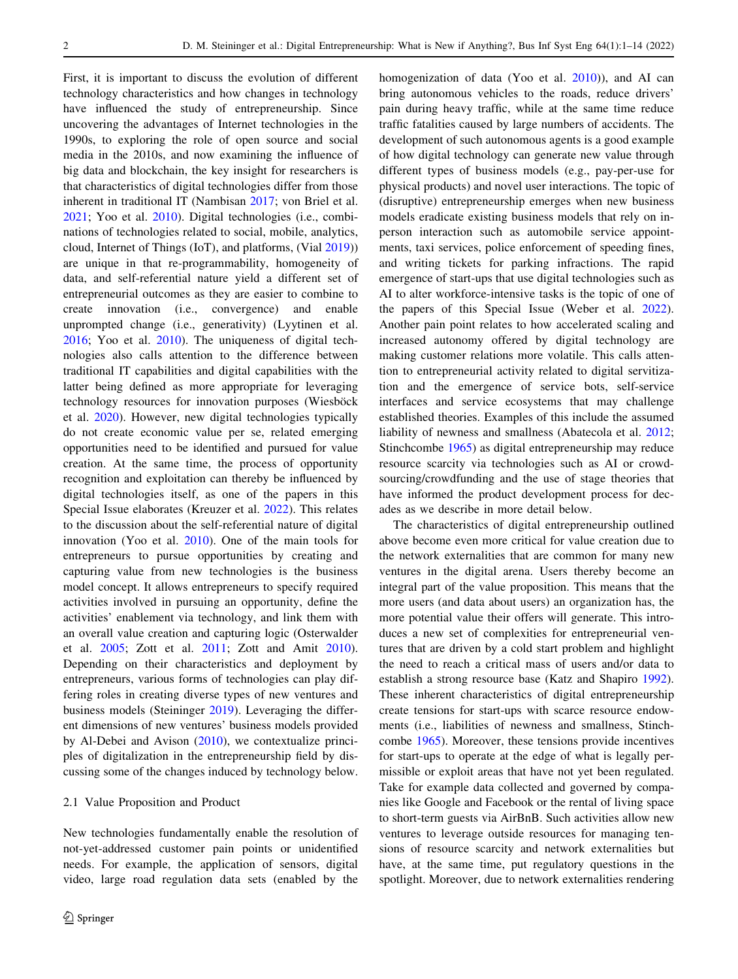First, it is important to discuss the evolution of different technology characteristics and how changes in technology have influenced the study of entrepreneurship. Since uncovering the advantages of Internet technologies in the 1990s, to exploring the role of open source and social media in the 2010s, and now examining the influence of big data and blockchain, the key insight for researchers is that characteristics of digital technologies differ from those inherent in traditional IT (Nambisan [2017;](#page-12-0) von Briel et al. [2021;](#page-12-0) Yoo et al. [2010](#page-13-0)). Digital technologies (i.e., combinations of technologies related to social, mobile, analytics, cloud, Internet of Things (IoT), and platforms, (Vial [2019\)](#page-12-0)) are unique in that re-programmability, homogeneity of data, and self-referential nature yield a different set of entrepreneurial outcomes as they are easier to combine to create innovation (i.e., convergence) and enable unprompted change (i.e., generativity) (Lyytinen et al. [2016;](#page-12-0) Yoo et al. [2010](#page-13-0)). The uniqueness of digital technologies also calls attention to the difference between traditional IT capabilities and digital capabilities with the latter being defined as more appropriate for leveraging technology resources for innovation purposes (Wiesböck et al. [2020](#page-12-0)). However, new digital technologies typically do not create economic value per se, related emerging opportunities need to be identified and pursued for value creation. At the same time, the process of opportunity recognition and exploitation can thereby be influenced by digital technologies itself, as one of the papers in this Special Issue elaborates (Kreuzer et al. [2022](#page-11-0)). This relates to the discussion about the self-referential nature of digital innovation (Yoo et al. [2010\)](#page-13-0). One of the main tools for entrepreneurs to pursue opportunities by creating and capturing value from new technologies is the business model concept. It allows entrepreneurs to specify required activities involved in pursuing an opportunity, define the activities' enablement via technology, and link them with an overall value creation and capturing logic (Osterwalder et al. [2005;](#page-12-0) Zott et al. [2011](#page-13-0); Zott and Amit [2010](#page-13-0)). Depending on their characteristics and deployment by entrepreneurs, various forms of technologies can play differing roles in creating diverse types of new ventures and business models (Steininger [2019](#page-12-0)). Leveraging the different dimensions of new ventures' business models provided by Al-Debei and Avison [\(2010](#page-11-0)), we contextualize principles of digitalization in the entrepreneurship field by discussing some of the changes induced by technology below.

# 2.1 Value Proposition and Product

New technologies fundamentally enable the resolution of not-yet-addressed customer pain points or unidentified needs. For example, the application of sensors, digital video, large road regulation data sets (enabled by the homogenization of data (Yoo et al. [2010\)](#page-13-0)), and AI can bring autonomous vehicles to the roads, reduce drivers' pain during heavy traffic, while at the same time reduce traffic fatalities caused by large numbers of accidents. The development of such autonomous agents is a good example of how digital technology can generate new value through different types of business models (e.g., pay-per-use for physical products) and novel user interactions. The topic of (disruptive) entrepreneurship emerges when new business models eradicate existing business models that rely on inperson interaction such as automobile service appointments, taxi services, police enforcement of speeding fines, and writing tickets for parking infractions. The rapid emergence of start-ups that use digital technologies such as AI to alter workforce-intensive tasks is the topic of one of the papers of this Special Issue (Weber et al. [2022](#page-12-0)). Another pain point relates to how accelerated scaling and increased autonomy offered by digital technology are making customer relations more volatile. This calls attention to entrepreneurial activity related to digital servitization and the emergence of service bots, self-service interfaces and service ecosystems that may challenge established theories. Examples of this include the assumed liability of newness and smallness (Abatecola et al. [2012](#page-11-0); Stinchcombe [1965](#page-12-0)) as digital entrepreneurship may reduce resource scarcity via technologies such as AI or crowdsourcing/crowdfunding and the use of stage theories that have informed the product development process for decades as we describe in more detail below.

The characteristics of digital entrepreneurship outlined above become even more critical for value creation due to the network externalities that are common for many new ventures in the digital arena. Users thereby become an integral part of the value proposition. This means that the more users (and data about users) an organization has, the more potential value their offers will generate. This introduces a new set of complexities for entrepreneurial ventures that are driven by a cold start problem and highlight the need to reach a critical mass of users and/or data to establish a strong resource base (Katz and Shapiro [1992](#page-11-0)). These inherent characteristics of digital entrepreneurship create tensions for start-ups with scarce resource endowments (i.e., liabilities of newness and smallness, Stinchcombe [1965](#page-12-0)). Moreover, these tensions provide incentives for start-ups to operate at the edge of what is legally permissible or exploit areas that have not yet been regulated. Take for example data collected and governed by companies like Google and Facebook or the rental of living space to short-term guests via AirBnB. Such activities allow new ventures to leverage outside resources for managing tensions of resource scarcity and network externalities but have, at the same time, put regulatory questions in the spotlight. Moreover, due to network externalities rendering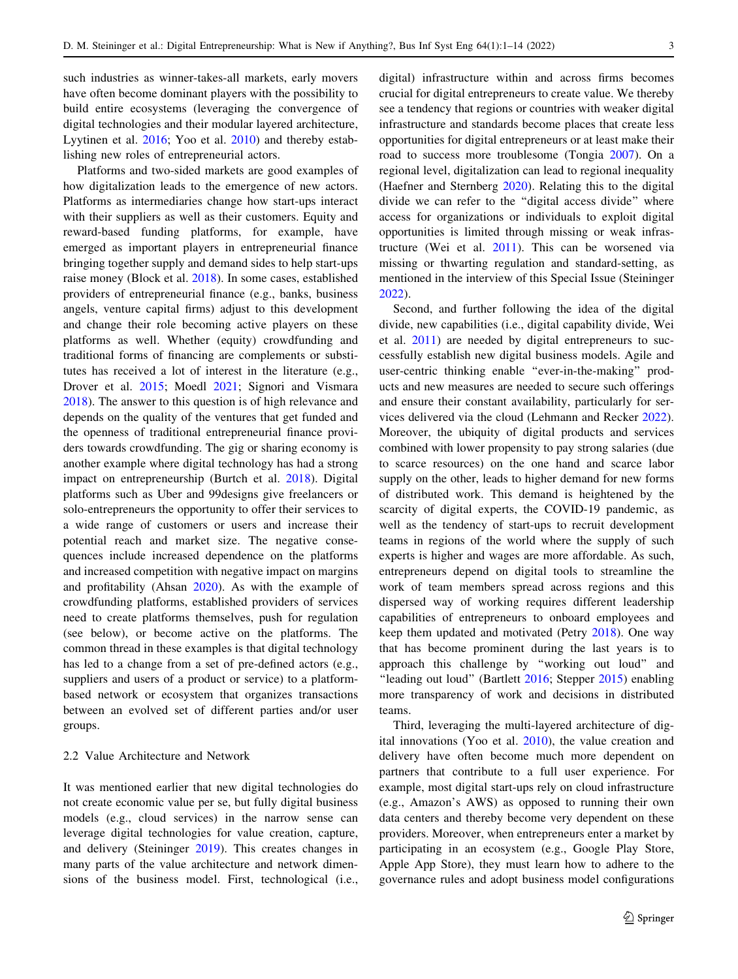such industries as winner-takes-all markets, early movers have often become dominant players with the possibility to build entire ecosystems (leveraging the convergence of digital technologies and their modular layered architecture, Lyytinen et al. [2016](#page-12-0); Yoo et al. [2010\)](#page-13-0) and thereby establishing new roles of entrepreneurial actors.

Platforms and two-sided markets are good examples of how digitalization leads to the emergence of new actors. Platforms as intermediaries change how start-ups interact with their suppliers as well as their customers. Equity and reward-based funding platforms, for example, have emerged as important players in entrepreneurial finance bringing together supply and demand sides to help start-ups raise money (Block et al. [2018\)](#page-11-0). In some cases, established providers of entrepreneurial finance (e.g., banks, business angels, venture capital firms) adjust to this development and change their role becoming active players on these platforms as well. Whether (equity) crowdfunding and traditional forms of financing are complements or substitutes has received a lot of interest in the literature (e.g., Drover et al. [2015;](#page-11-0) Moedl [2021](#page-12-0); Signori and Vismara [2018\)](#page-12-0). The answer to this question is of high relevance and depends on the quality of the ventures that get funded and the openness of traditional entrepreneurial finance providers towards crowdfunding. The gig or sharing economy is another example where digital technology has had a strong impact on entrepreneurship (Burtch et al. [2018\)](#page-11-0). Digital platforms such as Uber and 99designs give freelancers or solo-entrepreneurs the opportunity to offer their services to a wide range of customers or users and increase their potential reach and market size. The negative consequences include increased dependence on the platforms and increased competition with negative impact on margins and profitability (Ahsan [2020\)](#page-11-0). As with the example of crowdfunding platforms, established providers of services need to create platforms themselves, push for regulation (see below), or become active on the platforms. The common thread in these examples is that digital technology has led to a change from a set of pre-defined actors (e.g., suppliers and users of a product or service) to a platformbased network or ecosystem that organizes transactions between an evolved set of different parties and/or user groups.

# 2.2 Value Architecture and Network

It was mentioned earlier that new digital technologies do not create economic value per se, but fully digital business models (e.g., cloud services) in the narrow sense can leverage digital technologies for value creation, capture, and delivery (Steininger [2019\)](#page-12-0). This creates changes in many parts of the value architecture and network dimensions of the business model. First, technological (i.e., digital) infrastructure within and across firms becomes crucial for digital entrepreneurs to create value. We thereby see a tendency that regions or countries with weaker digital infrastructure and standards become places that create less opportunities for digital entrepreneurs or at least make their road to success more troublesome (Tongia [2007](#page-12-0)). On a regional level, digitalization can lead to regional inequality (Haefner and Sternberg [2020\)](#page-11-0). Relating this to the digital divide we can refer to the ''digital access divide'' where access for organizations or individuals to exploit digital opportunities is limited through missing or weak infrastructure (Wei et al. [2011\)](#page-12-0). This can be worsened via missing or thwarting regulation and standard-setting, as mentioned in the interview of this Special Issue (Steininger [2022](#page-12-0)).

Second, and further following the idea of the digital divide, new capabilities (i.e., digital capability divide, Wei et al. [2011\)](#page-12-0) are needed by digital entrepreneurs to successfully establish new digital business models. Agile and user-centric thinking enable ''ever-in-the-making'' products and new measures are needed to secure such offerings and ensure their constant availability, particularly for services delivered via the cloud (Lehmann and Recker [2022](#page-11-0)). Moreover, the ubiquity of digital products and services combined with lower propensity to pay strong salaries (due to scarce resources) on the one hand and scarce labor supply on the other, leads to higher demand for new forms of distributed work. This demand is heightened by the scarcity of digital experts, the COVID-19 pandemic, as well as the tendency of start-ups to recruit development teams in regions of the world where the supply of such experts is higher and wages are more affordable. As such, entrepreneurs depend on digital tools to streamline the work of team members spread across regions and this dispersed way of working requires different leadership capabilities of entrepreneurs to onboard employees and keep them updated and motivated (Petry [2018\)](#page-12-0). One way that has become prominent during the last years is to approach this challenge by ''working out loud'' and "leading out loud" (Bartlett [2016;](#page-11-0) Stepper [2015](#page-12-0)) enabling more transparency of work and decisions in distributed teams.

Third, leveraging the multi-layered architecture of digital innovations (Yoo et al. [2010](#page-13-0)), the value creation and delivery have often become much more dependent on partners that contribute to a full user experience. For example, most digital start-ups rely on cloud infrastructure (e.g., Amazon's AWS) as opposed to running their own data centers and thereby become very dependent on these providers. Moreover, when entrepreneurs enter a market by participating in an ecosystem (e.g., Google Play Store, Apple App Store), they must learn how to adhere to the governance rules and adopt business model configurations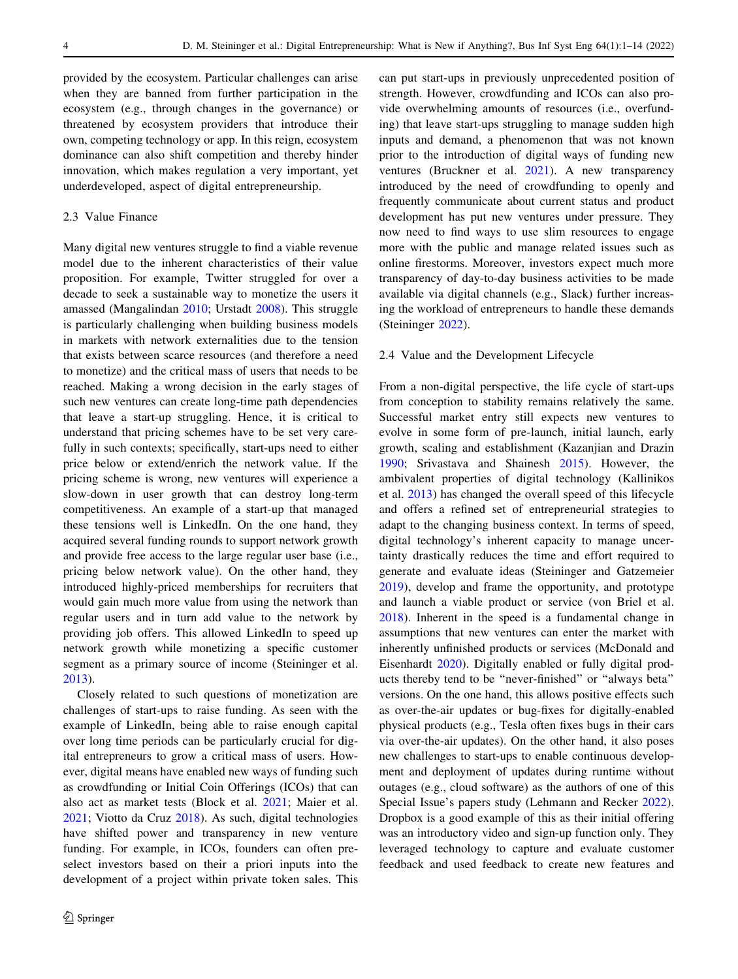provided by the ecosystem. Particular challenges can arise when they are banned from further participation in the ecosystem (e.g., through changes in the governance) or threatened by ecosystem providers that introduce their own, competing technology or app. In this reign, ecosystem dominance can also shift competition and thereby hinder innovation, which makes regulation a very important, yet underdeveloped, aspect of digital entrepreneurship.

# 2.3 Value Finance

Many digital new ventures struggle to find a viable revenue model due to the inherent characteristics of their value proposition. For example, Twitter struggled for over a decade to seek a sustainable way to monetize the users it amassed (Mangalindan [2010;](#page-12-0) Urstadt [2008\)](#page-12-0). This struggle is particularly challenging when building business models in markets with network externalities due to the tension that exists between scarce resources (and therefore a need to monetize) and the critical mass of users that needs to be reached. Making a wrong decision in the early stages of such new ventures can create long-time path dependencies that leave a start-up struggling. Hence, it is critical to understand that pricing schemes have to be set very carefully in such contexts; specifically, start-ups need to either price below or extend/enrich the network value. If the pricing scheme is wrong, new ventures will experience a slow-down in user growth that can destroy long-term competitiveness. An example of a start-up that managed these tensions well is LinkedIn. On the one hand, they acquired several funding rounds to support network growth and provide free access to the large regular user base (i.e., pricing below network value). On the other hand, they introduced highly-priced memberships for recruiters that would gain much more value from using the network than regular users and in turn add value to the network by providing job offers. This allowed LinkedIn to speed up network growth while monetizing a specific customer segment as a primary source of income (Steininger et al. [2013\)](#page-12-0).

Closely related to such questions of monetization are challenges of start-ups to raise funding. As seen with the example of LinkedIn, being able to raise enough capital over long time periods can be particularly crucial for digital entrepreneurs to grow a critical mass of users. However, digital means have enabled new ways of funding such as crowdfunding or Initial Coin Offerings (ICOs) that can also act as market tests (Block et al. [2021](#page-11-0); Maier et al. [2021;](#page-12-0) Viotto da Cruz [2018\)](#page-12-0). As such, digital technologies have shifted power and transparency in new venture funding. For example, in ICOs, founders can often preselect investors based on their a priori inputs into the development of a project within private token sales. This can put start-ups in previously unprecedented position of strength. However, crowdfunding and ICOs can also provide overwhelming amounts of resources (i.e., overfunding) that leave start-ups struggling to manage sudden high inputs and demand, a phenomenon that was not known prior to the introduction of digital ways of funding new ventures (Bruckner et al. [2021\)](#page-11-0). A new transparency introduced by the need of crowdfunding to openly and frequently communicate about current status and product development has put new ventures under pressure. They now need to find ways to use slim resources to engage more with the public and manage related issues such as online firestorms. Moreover, investors expect much more transparency of day-to-day business activities to be made available via digital channels (e.g., Slack) further increasing the workload of entrepreneurs to handle these demands (Steininger [2022\)](#page-12-0).

#### 2.4 Value and the Development Lifecycle

From a non-digital perspective, the life cycle of start-ups from conception to stability remains relatively the same. Successful market entry still expects new ventures to evolve in some form of pre-launch, initial launch, early growth, scaling and establishment (Kazanjian and Drazin [1990](#page-11-0); Srivastava and Shainesh [2015\)](#page-12-0). However, the ambivalent properties of digital technology (Kallinikos et al. [2013](#page-11-0)) has changed the overall speed of this lifecycle and offers a refined set of entrepreneurial strategies to adapt to the changing business context. In terms of speed, digital technology's inherent capacity to manage uncertainty drastically reduces the time and effort required to generate and evaluate ideas (Steininger and Gatzemeier [2019](#page-12-0)), develop and frame the opportunity, and prototype and launch a viable product or service (von Briel et al. [2018](#page-12-0)). Inherent in the speed is a fundamental change in assumptions that new ventures can enter the market with inherently unfinished products or services (McDonald and Eisenhardt [2020\)](#page-12-0). Digitally enabled or fully digital products thereby tend to be ''never-finished'' or ''always beta'' versions. On the one hand, this allows positive effects such as over-the-air updates or bug-fixes for digitally-enabled physical products (e.g., Tesla often fixes bugs in their cars via over-the-air updates). On the other hand, it also poses new challenges to start-ups to enable continuous development and deployment of updates during runtime without outages (e.g., cloud software) as the authors of one of this Special Issue's papers study (Lehmann and Recker [2022](#page-11-0)). Dropbox is a good example of this as their initial offering was an introductory video and sign-up function only. They leveraged technology to capture and evaluate customer feedback and used feedback to create new features and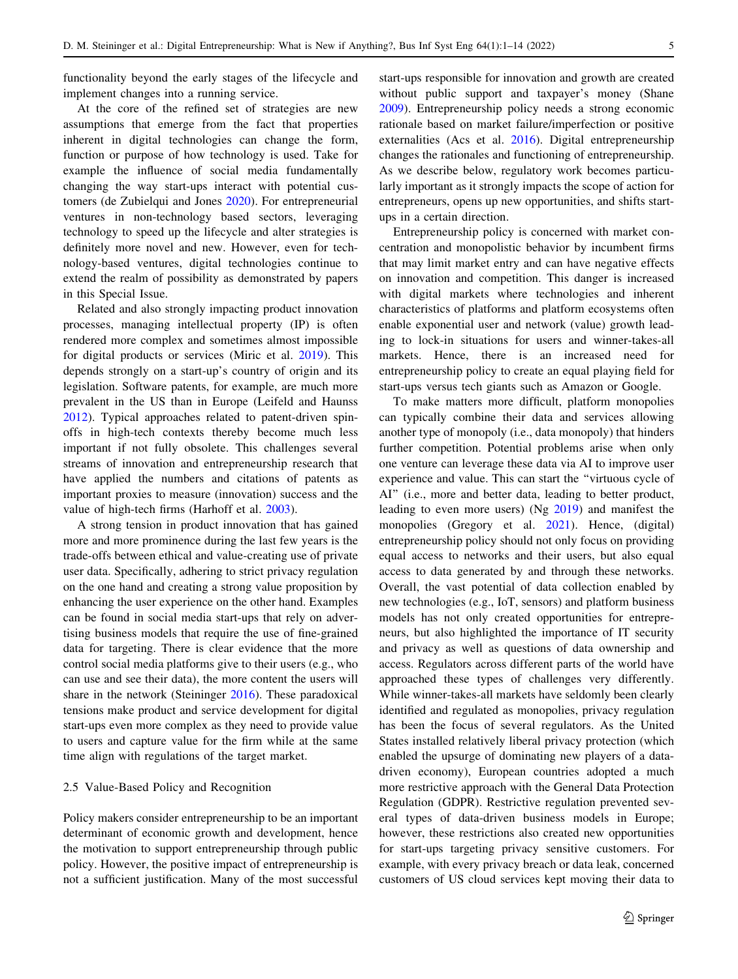functionality beyond the early stages of the lifecycle and implement changes into a running service.

At the core of the refined set of strategies are new assumptions that emerge from the fact that properties inherent in digital technologies can change the form, function or purpose of how technology is used. Take for example the influence of social media fundamentally changing the way start-ups interact with potential customers (de Zubielqui and Jones [2020](#page-11-0)). For entrepreneurial ventures in non-technology based sectors, leveraging technology to speed up the lifecycle and alter strategies is definitely more novel and new. However, even for technology-based ventures, digital technologies continue to extend the realm of possibility as demonstrated by papers in this Special Issue.

Related and also strongly impacting product innovation processes, managing intellectual property (IP) is often rendered more complex and sometimes almost impossible for digital products or services (Miric et al. [2019](#page-12-0)). This depends strongly on a start-up's country of origin and its legislation. Software patents, for example, are much more prevalent in the US than in Europe (Leifeld and Haunss [2012\)](#page-11-0). Typical approaches related to patent-driven spinoffs in high-tech contexts thereby become much less important if not fully obsolete. This challenges several streams of innovation and entrepreneurship research that have applied the numbers and citations of patents as important proxies to measure (innovation) success and the value of high-tech firms (Harhoff et al. [2003\)](#page-11-0).

A strong tension in product innovation that has gained more and more prominence during the last few years is the trade-offs between ethical and value-creating use of private user data. Specifically, adhering to strict privacy regulation on the one hand and creating a strong value proposition by enhancing the user experience on the other hand. Examples can be found in social media start-ups that rely on advertising business models that require the use of fine-grained data for targeting. There is clear evidence that the more control social media platforms give to their users (e.g., who can use and see their data), the more content the users will share in the network (Steininger [2016\)](#page-12-0). These paradoxical tensions make product and service development for digital start-ups even more complex as they need to provide value to users and capture value for the firm while at the same time align with regulations of the target market.

## 2.5 Value-Based Policy and Recognition

Policy makers consider entrepreneurship to be an important determinant of economic growth and development, hence the motivation to support entrepreneurship through public policy. However, the positive impact of entrepreneurship is not a sufficient justification. Many of the most successful start-ups responsible for innovation and growth are created without public support and taxpayer's money (Shane [2009](#page-12-0)). Entrepreneurship policy needs a strong economic rationale based on market failure/imperfection or positive externalities (Acs et al. [2016\)](#page-11-0). Digital entrepreneurship changes the rationales and functioning of entrepreneurship. As we describe below, regulatory work becomes particularly important as it strongly impacts the scope of action for entrepreneurs, opens up new opportunities, and shifts startups in a certain direction.

Entrepreneurship policy is concerned with market concentration and monopolistic behavior by incumbent firms that may limit market entry and can have negative effects on innovation and competition. This danger is increased with digital markets where technologies and inherent characteristics of platforms and platform ecosystems often enable exponential user and network (value) growth leading to lock-in situations for users and winner-takes-all markets. Hence, there is an increased need for entrepreneurship policy to create an equal playing field for start-ups versus tech giants such as Amazon or Google.

To make matters more difficult, platform monopolies can typically combine their data and services allowing another type of monopoly (i.e., data monopoly) that hinders further competition. Potential problems arise when only one venture can leverage these data via AI to improve user experience and value. This can start the ''virtuous cycle of AI'' (i.e., more and better data, leading to better product, leading to even more users) (Ng [2019](#page-12-0)) and manifest the monopolies (Gregory et al. [2021\)](#page-11-0). Hence, (digital) entrepreneurship policy should not only focus on providing equal access to networks and their users, but also equal access to data generated by and through these networks. Overall, the vast potential of data collection enabled by new technologies (e.g., IoT, sensors) and platform business models has not only created opportunities for entrepreneurs, but also highlighted the importance of IT security and privacy as well as questions of data ownership and access. Regulators across different parts of the world have approached these types of challenges very differently. While winner-takes-all markets have seldomly been clearly identified and regulated as monopolies, privacy regulation has been the focus of several regulators. As the United States installed relatively liberal privacy protection (which enabled the upsurge of dominating new players of a datadriven economy), European countries adopted a much more restrictive approach with the General Data Protection Regulation (GDPR). Restrictive regulation prevented several types of data-driven business models in Europe; however, these restrictions also created new opportunities for start-ups targeting privacy sensitive customers. For example, with every privacy breach or data leak, concerned customers of US cloud services kept moving their data to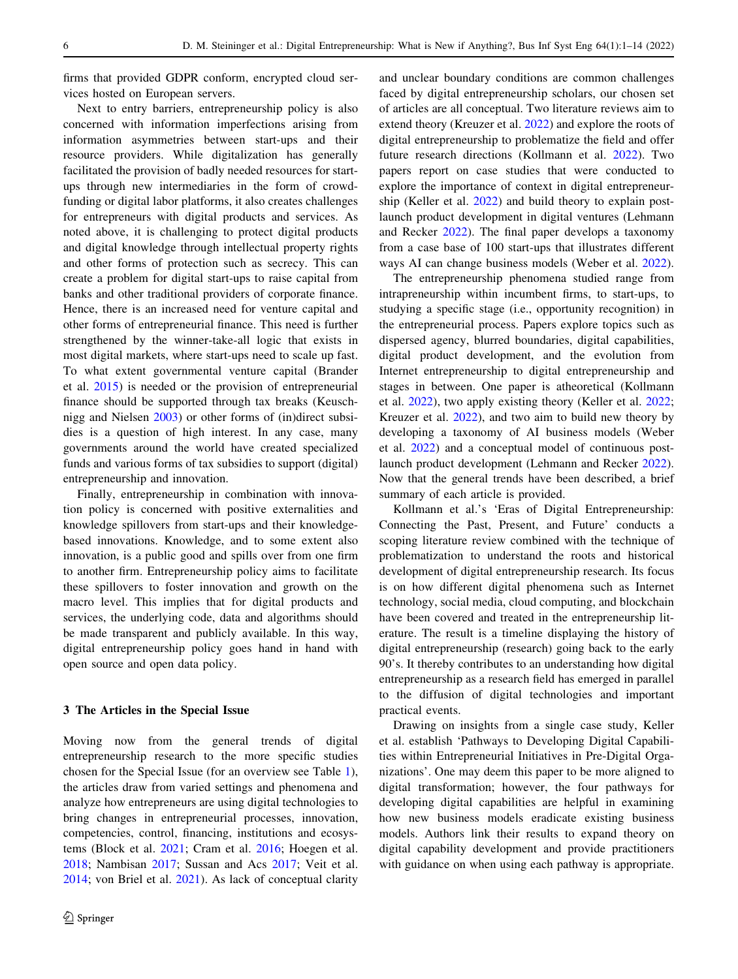firms that provided GDPR conform, encrypted cloud services hosted on European servers.

Next to entry barriers, entrepreneurship policy is also concerned with information imperfections arising from information asymmetries between start-ups and their resource providers. While digitalization has generally facilitated the provision of badly needed resources for startups through new intermediaries in the form of crowdfunding or digital labor platforms, it also creates challenges for entrepreneurs with digital products and services. As noted above, it is challenging to protect digital products and digital knowledge through intellectual property rights and other forms of protection such as secrecy. This can create a problem for digital start-ups to raise capital from banks and other traditional providers of corporate finance. Hence, there is an increased need for venture capital and other forms of entrepreneurial finance. This need is further strengthened by the winner-take-all logic that exists in most digital markets, where start-ups need to scale up fast. To what extent governmental venture capital (Brander et al. [2015\)](#page-11-0) is needed or the provision of entrepreneurial finance should be supported through tax breaks (Keuschnigg and Nielsen [2003\)](#page-11-0) or other forms of (in)direct subsidies is a question of high interest. In any case, many governments around the world have created specialized funds and various forms of tax subsidies to support (digital) entrepreneurship and innovation.

Finally, entrepreneurship in combination with innovation policy is concerned with positive externalities and knowledge spillovers from start-ups and their knowledgebased innovations. Knowledge, and to some extent also innovation, is a public good and spills over from one firm to another firm. Entrepreneurship policy aims to facilitate these spillovers to foster innovation and growth on the macro level. This implies that for digital products and services, the underlying code, data and algorithms should be made transparent and publicly available. In this way, digital entrepreneurship policy goes hand in hand with open source and open data policy.

## 3 The Articles in the Special Issue

Moving now from the general trends of digital entrepreneurship research to the more specific studies chosen for the Special Issue (for an overview see Table [1](#page-6-0)), the articles draw from varied settings and phenomena and analyze how entrepreneurs are using digital technologies to bring changes in entrepreneurial processes, innovation, competencies, control, financing, institutions and ecosystems (Block et al. [2021](#page-11-0); Cram et al. [2016;](#page-11-0) Hoegen et al. [2018;](#page-11-0) Nambisan [2017;](#page-12-0) Sussan and Acs [2017;](#page-12-0) Veit et al. [2014;](#page-12-0) von Briel et al. [2021\)](#page-12-0). As lack of conceptual clarity and unclear boundary conditions are common challenges faced by digital entrepreneurship scholars, our chosen set of articles are all conceptual. Two literature reviews aim to extend theory (Kreuzer et al. [2022](#page-11-0)) and explore the roots of digital entrepreneurship to problematize the field and offer future research directions (Kollmann et al. [2022\)](#page-11-0). Two papers report on case studies that were conducted to explore the importance of context in digital entrepreneurship (Keller et al. [2022](#page-11-0)) and build theory to explain postlaunch product development in digital ventures (Lehmann and Recker [2022](#page-11-0)). The final paper develops a taxonomy from a case base of 100 start-ups that illustrates different ways AI can change business models (Weber et al. [2022](#page-12-0)).

The entrepreneurship phenomena studied range from intrapreneurship within incumbent firms, to start-ups, to studying a specific stage (i.e., opportunity recognition) in the entrepreneurial process. Papers explore topics such as dispersed agency, blurred boundaries, digital capabilities, digital product development, and the evolution from Internet entrepreneurship to digital entrepreneurship and stages in between. One paper is atheoretical (Kollmann et al. [2022\)](#page-11-0), two apply existing theory (Keller et al. [2022](#page-11-0); Kreuzer et al. [2022\)](#page-11-0), and two aim to build new theory by developing a taxonomy of AI business models (Weber et al. [2022\)](#page-12-0) and a conceptual model of continuous postlaunch product development (Lehmann and Recker [2022](#page-11-0)). Now that the general trends have been described, a brief summary of each article is provided.

Kollmann et al.'s 'Eras of Digital Entrepreneurship: Connecting the Past, Present, and Future' conducts a scoping literature review combined with the technique of problematization to understand the roots and historical development of digital entrepreneurship research. Its focus is on how different digital phenomena such as Internet technology, social media, cloud computing, and blockchain have been covered and treated in the entrepreneurship literature. The result is a timeline displaying the history of digital entrepreneurship (research) going back to the early 90's. It thereby contributes to an understanding how digital entrepreneurship as a research field has emerged in parallel to the diffusion of digital technologies and important practical events.

Drawing on insights from a single case study, Keller et al. establish 'Pathways to Developing Digital Capabilities within Entrepreneurial Initiatives in Pre-Digital Organizations'. One may deem this paper to be more aligned to digital transformation; however, the four pathways for developing digital capabilities are helpful in examining how new business models eradicate existing business models. Authors link their results to expand theory on digital capability development and provide practitioners with guidance on when using each pathway is appropriate.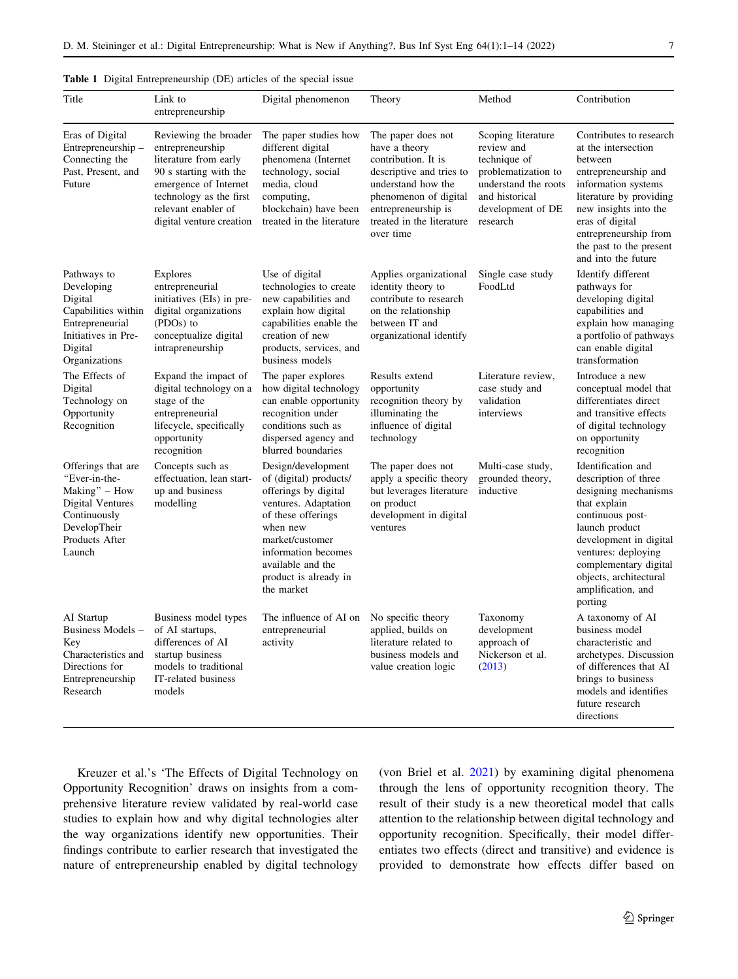| Title                                                                                                                                | Link to<br>entrepreneurship                                                                                                                                                                         | Digital phenomenon                                                                                                                                                                                                                   | Theory                                                                                                                                                                                                 | Method                                                                                                                                             | Contribution                                                                                                                                                                                                                                                  |
|--------------------------------------------------------------------------------------------------------------------------------------|-----------------------------------------------------------------------------------------------------------------------------------------------------------------------------------------------------|--------------------------------------------------------------------------------------------------------------------------------------------------------------------------------------------------------------------------------------|--------------------------------------------------------------------------------------------------------------------------------------------------------------------------------------------------------|----------------------------------------------------------------------------------------------------------------------------------------------------|---------------------------------------------------------------------------------------------------------------------------------------------------------------------------------------------------------------------------------------------------------------|
| Eras of Digital<br>Entrepreneurship –<br>Connecting the<br>Past, Present, and<br>Future                                              | Reviewing the broader<br>entrepreneurship<br>literature from early<br>90 s starting with the<br>emergence of Internet<br>technology as the first<br>relevant enabler of<br>digital venture creation | The paper studies how<br>different digital<br>phenomena (Internet<br>technology, social<br>media, cloud<br>computing,<br>blockchain) have been<br>treated in the literature                                                          | The paper does not<br>have a theory<br>contribution. It is<br>descriptive and tries to<br>understand how the<br>phenomenon of digital<br>entrepreneurship is<br>treated in the literature<br>over time | Scoping literature<br>review and<br>technique of<br>problematization to<br>understand the roots<br>and historical<br>development of DE<br>research | Contributes to research<br>at the intersection<br>between<br>entrepreneurship and<br>information systems<br>literature by providing<br>new insights into the<br>eras of digital<br>entrepreneurship from<br>the past to the present<br>and into the future    |
| Pathways to<br>Developing<br>Digital<br>Capabilities within<br>Entrepreneurial<br>Initiatives in Pre-<br>Digital<br>Organizations    | <b>Explores</b><br>entrepreneurial<br>initiatives (EIs) in pre-<br>digital organizations<br>(PDOs) to<br>conceptualize digital<br>intrapreneurship                                                  | Use of digital<br>technologies to create<br>new capabilities and<br>explain how digital<br>capabilities enable the<br>creation of new<br>products, services, and<br>business models                                                  | Applies organizational<br>identity theory to<br>contribute to research<br>on the relationship<br>between IT and<br>organizational identify                                                             | Single case study<br>FoodLtd                                                                                                                       | Identify different<br>pathways for<br>developing digital<br>capabilities and<br>explain how managing<br>a portfolio of pathways<br>can enable digital<br>transformation                                                                                       |
| The Effects of<br>Digital<br>Technology on<br>Opportunity<br>Recognition                                                             | Expand the impact of<br>digital technology on a<br>stage of the<br>entrepreneurial<br>lifecycle, specifically<br>opportunity<br>recognition                                                         | The paper explores<br>how digital technology<br>can enable opportunity<br>recognition under<br>conditions such as<br>dispersed agency and<br>blurred boundaries                                                                      | Results extend<br>opportunity<br>recognition theory by<br>illuminating the<br>influence of digital<br>technology                                                                                       | Literature review,<br>case study and<br>validation<br>interviews                                                                                   | Introduce a new<br>conceptual model that<br>differentiates direct<br>and transitive effects<br>of digital technology<br>on opportunity<br>recognition                                                                                                         |
| Offerings that are<br>"Ever-in-the-<br>Making" - How<br>Digital Ventures<br>Continuously<br>DevelopTheir<br>Products After<br>Launch | Concepts such as<br>effectuation, lean start-<br>up and business<br>modelling                                                                                                                       | Design/development<br>of (digital) products/<br>offerings by digital<br>ventures. Adaptation<br>of these offerings<br>when new<br>market/customer<br>information becomes<br>available and the<br>product is already in<br>the market | The paper does not<br>apply a specific theory<br>but leverages literature<br>on product<br>development in digital<br>ventures                                                                          | Multi-case study,<br>grounded theory,<br>inductive                                                                                                 | Identification and<br>description of three<br>designing mechanisms<br>that explain<br>continuous post-<br>launch product<br>development in digital<br>ventures: deploying<br>complementary digital<br>objects, architectural<br>amplification, and<br>porting |
| AI Startup<br>Business Models -<br>Key<br>Characteristics and<br>Directions for<br>Entrepreneurship<br>Research                      | Business model types<br>of AI startups,<br>differences of AI<br>startup business<br>models to traditional<br>IT-related business<br>models                                                          | The influence of AI on<br>entrepreneurial<br>activity                                                                                                                                                                                | No specific theory<br>applied, builds on<br>literature related to<br>business models and<br>value creation logic                                                                                       | Taxonomy<br>development<br>approach of<br>Nickerson et al.<br>(2013)                                                                               | A taxonomy of AI<br>business model<br>characteristic and<br>archetypes. Discussion<br>of differences that AI<br>brings to business<br>models and identifies<br>future research<br>directions                                                                  |

<span id="page-6-0"></span>

|  |  | Table 1 Digital Entrepreneurship (DE) articles of the special issue |  |  |  |  |  |
|--|--|---------------------------------------------------------------------|--|--|--|--|--|
|--|--|---------------------------------------------------------------------|--|--|--|--|--|

Kreuzer et al.'s 'The Effects of Digital Technology on Opportunity Recognition' draws on insights from a comprehensive literature review validated by real-world case studies to explain how and why digital technologies alter the way organizations identify new opportunities. Their findings contribute to earlier research that investigated the nature of entrepreneurship enabled by digital technology (von Briel et al. [2021](#page-12-0)) by examining digital phenomena through the lens of opportunity recognition theory. The result of their study is a new theoretical model that calls attention to the relationship between digital technology and opportunity recognition. Specifically, their model differentiates two effects (direct and transitive) and evidence is provided to demonstrate how effects differ based on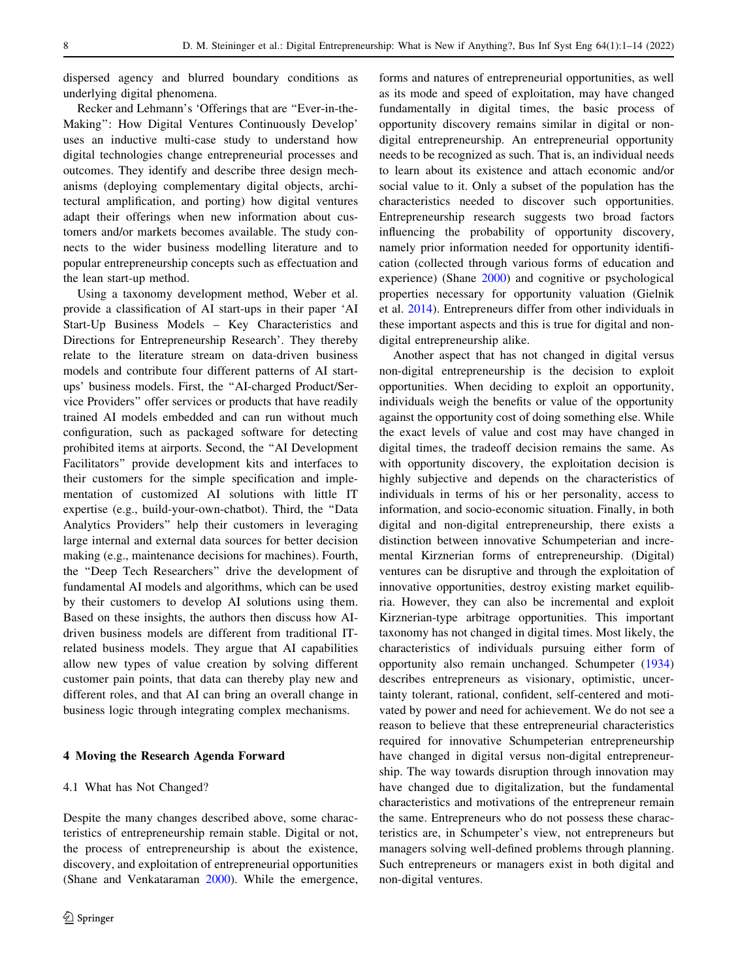dispersed agency and blurred boundary conditions as underlying digital phenomena.

Recker and Lehmann's 'Offerings that are ''Ever-in-the-Making'': How Digital Ventures Continuously Develop' uses an inductive multi-case study to understand how digital technologies change entrepreneurial processes and outcomes. They identify and describe three design mechanisms (deploying complementary digital objects, architectural amplification, and porting) how digital ventures adapt their offerings when new information about customers and/or markets becomes available. The study connects to the wider business modelling literature and to popular entrepreneurship concepts such as effectuation and the lean start-up method.

Using a taxonomy development method, Weber et al. provide a classification of AI start-ups in their paper 'AI Start-Up Business Models – Key Characteristics and Directions for Entrepreneurship Research'. They thereby relate to the literature stream on data-driven business models and contribute four different patterns of AI startups' business models. First, the ''AI-charged Product/Service Providers'' offer services or products that have readily trained AI models embedded and can run without much configuration, such as packaged software for detecting prohibited items at airports. Second, the ''AI Development Facilitators'' provide development kits and interfaces to their customers for the simple specification and implementation of customized AI solutions with little IT expertise (e.g., build-your-own-chatbot). Third, the ''Data Analytics Providers'' help their customers in leveraging large internal and external data sources for better decision making (e.g., maintenance decisions for machines). Fourth, the ''Deep Tech Researchers'' drive the development of fundamental AI models and algorithms, which can be used by their customers to develop AI solutions using them. Based on these insights, the authors then discuss how AIdriven business models are different from traditional ITrelated business models. They argue that AI capabilities allow new types of value creation by solving different customer pain points, that data can thereby play new and different roles, and that AI can bring an overall change in business logic through integrating complex mechanisms.

## 4 Moving the Research Agenda Forward

## 4.1 What has Not Changed?

Despite the many changes described above, some characteristics of entrepreneurship remain stable. Digital or not, the process of entrepreneurship is about the existence, discovery, and exploitation of entrepreneurial opportunities (Shane and Venkataraman [2000](#page-12-0)). While the emergence, forms and natures of entrepreneurial opportunities, as well as its mode and speed of exploitation, may have changed fundamentally in digital times, the basic process of opportunity discovery remains similar in digital or nondigital entrepreneurship. An entrepreneurial opportunity needs to be recognized as such. That is, an individual needs to learn about its existence and attach economic and/or social value to it. Only a subset of the population has the characteristics needed to discover such opportunities. Entrepreneurship research suggests two broad factors influencing the probability of opportunity discovery, namely prior information needed for opportunity identification (collected through various forms of education and experience) (Shane [2000\)](#page-12-0) and cognitive or psychological properties necessary for opportunity valuation (Gielnik et al. [2014](#page-11-0)). Entrepreneurs differ from other individuals in these important aspects and this is true for digital and nondigital entrepreneurship alike.

Another aspect that has not changed in digital versus non-digital entrepreneurship is the decision to exploit opportunities. When deciding to exploit an opportunity, individuals weigh the benefits or value of the opportunity against the opportunity cost of doing something else. While the exact levels of value and cost may have changed in digital times, the tradeoff decision remains the same. As with opportunity discovery, the exploitation decision is highly subjective and depends on the characteristics of individuals in terms of his or her personality, access to information, and socio-economic situation. Finally, in both digital and non-digital entrepreneurship, there exists a distinction between innovative Schumpeterian and incremental Kirznerian forms of entrepreneurship. (Digital) ventures can be disruptive and through the exploitation of innovative opportunities, destroy existing market equilibria. However, they can also be incremental and exploit Kirznerian-type arbitrage opportunities. This important taxonomy has not changed in digital times. Most likely, the characteristics of individuals pursuing either form of opportunity also remain unchanged. Schumpeter ([1934\)](#page-12-0) describes entrepreneurs as visionary, optimistic, uncertainty tolerant, rational, confident, self-centered and motivated by power and need for achievement. We do not see a reason to believe that these entrepreneurial characteristics required for innovative Schumpeterian entrepreneurship have changed in digital versus non-digital entrepreneurship. The way towards disruption through innovation may have changed due to digitalization, but the fundamental characteristics and motivations of the entrepreneur remain the same. Entrepreneurs who do not possess these characteristics are, in Schumpeter's view, not entrepreneurs but managers solving well-defined problems through planning. Such entrepreneurs or managers exist in both digital and non-digital ventures.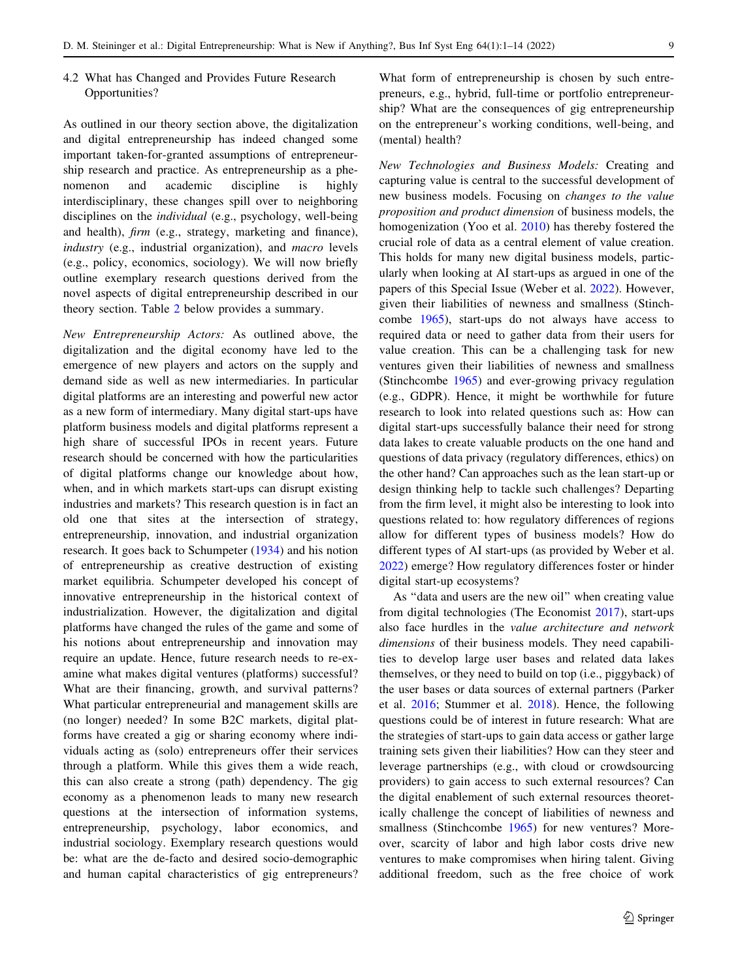# 4.2 What has Changed and Provides Future Research Opportunities?

As outlined in our theory section above, the digitalization and digital entrepreneurship has indeed changed some important taken-for-granted assumptions of entrepreneurship research and practice. As entrepreneurship as a phenomenon and academic discipline is highly interdisciplinary, these changes spill over to neighboring disciplines on the individual (e.g., psychology, well-being and health), firm (e.g., strategy, marketing and finance), industry (e.g., industrial organization), and *macro* levels (e.g., policy, economics, sociology). We will now briefly outline exemplary research questions derived from the novel aspects of digital entrepreneurship described in our theory section. Table [2](#page-9-0) below provides a summary.

New Entrepreneurship Actors: As outlined above, the digitalization and the digital economy have led to the emergence of new players and actors on the supply and demand side as well as new intermediaries. In particular digital platforms are an interesting and powerful new actor as a new form of intermediary. Many digital start-ups have platform business models and digital platforms represent a high share of successful IPOs in recent years. Future research should be concerned with how the particularities of digital platforms change our knowledge about how, when, and in which markets start-ups can disrupt existing industries and markets? This research question is in fact an old one that sites at the intersection of strategy, entrepreneurship, innovation, and industrial organization research. It goes back to Schumpeter ([1934\)](#page-12-0) and his notion of entrepreneurship as creative destruction of existing market equilibria. Schumpeter developed his concept of innovative entrepreneurship in the historical context of industrialization. However, the digitalization and digital platforms have changed the rules of the game and some of his notions about entrepreneurship and innovation may require an update. Hence, future research needs to re-examine what makes digital ventures (platforms) successful? What are their financing, growth, and survival patterns? What particular entrepreneurial and management skills are (no longer) needed? In some B2C markets, digital platforms have created a gig or sharing economy where individuals acting as (solo) entrepreneurs offer their services through a platform. While this gives them a wide reach, this can also create a strong (path) dependency. The gig economy as a phenomenon leads to many new research questions at the intersection of information systems, entrepreneurship, psychology, labor economics, and industrial sociology. Exemplary research questions would be: what are the de-facto and desired socio-demographic and human capital characteristics of gig entrepreneurs?

What form of entrepreneurship is chosen by such entrepreneurs, e.g., hybrid, full-time or portfolio entrepreneurship? What are the consequences of gig entrepreneurship on the entrepreneur's working conditions, well-being, and (mental) health?

New Technologies and Business Models: Creating and capturing value is central to the successful development of new business models. Focusing on changes to the value proposition and product dimension of business models, the homogenization (Yoo et al. [2010\)](#page-13-0) has thereby fostered the crucial role of data as a central element of value creation. This holds for many new digital business models, particularly when looking at AI start-ups as argued in one of the papers of this Special Issue (Weber et al. [2022](#page-12-0)). However, given their liabilities of newness and smallness (Stinchcombe [1965\)](#page-12-0), start-ups do not always have access to required data or need to gather data from their users for value creation. This can be a challenging task for new ventures given their liabilities of newness and smallness (Stinchcombe [1965\)](#page-12-0) and ever-growing privacy regulation (e.g., GDPR). Hence, it might be worthwhile for future research to look into related questions such as: How can digital start-ups successfully balance their need for strong data lakes to create valuable products on the one hand and questions of data privacy (regulatory differences, ethics) on the other hand? Can approaches such as the lean start-up or design thinking help to tackle such challenges? Departing from the firm level, it might also be interesting to look into questions related to: how regulatory differences of regions allow for different types of business models? How do different types of AI start-ups (as provided by Weber et al. [2022](#page-12-0)) emerge? How regulatory differences foster or hinder digital start-up ecosystems?

As ''data and users are the new oil'' when creating value from digital technologies (The Economist [2017\)](#page-11-0), start-ups also face hurdles in the value architecture and network dimensions of their business models. They need capabilities to develop large user bases and related data lakes themselves, or they need to build on top (i.e., piggyback) of the user bases or data sources of external partners (Parker et al. [2016;](#page-12-0) Stummer et al. [2018](#page-12-0)). Hence, the following questions could be of interest in future research: What are the strategies of start-ups to gain data access or gather large training sets given their liabilities? How can they steer and leverage partnerships (e.g., with cloud or crowdsourcing providers) to gain access to such external resources? Can the digital enablement of such external resources theoretically challenge the concept of liabilities of newness and smallness (Stinchcombe [1965](#page-12-0)) for new ventures? Moreover, scarcity of labor and high labor costs drive new ventures to make compromises when hiring talent. Giving additional freedom, such as the free choice of work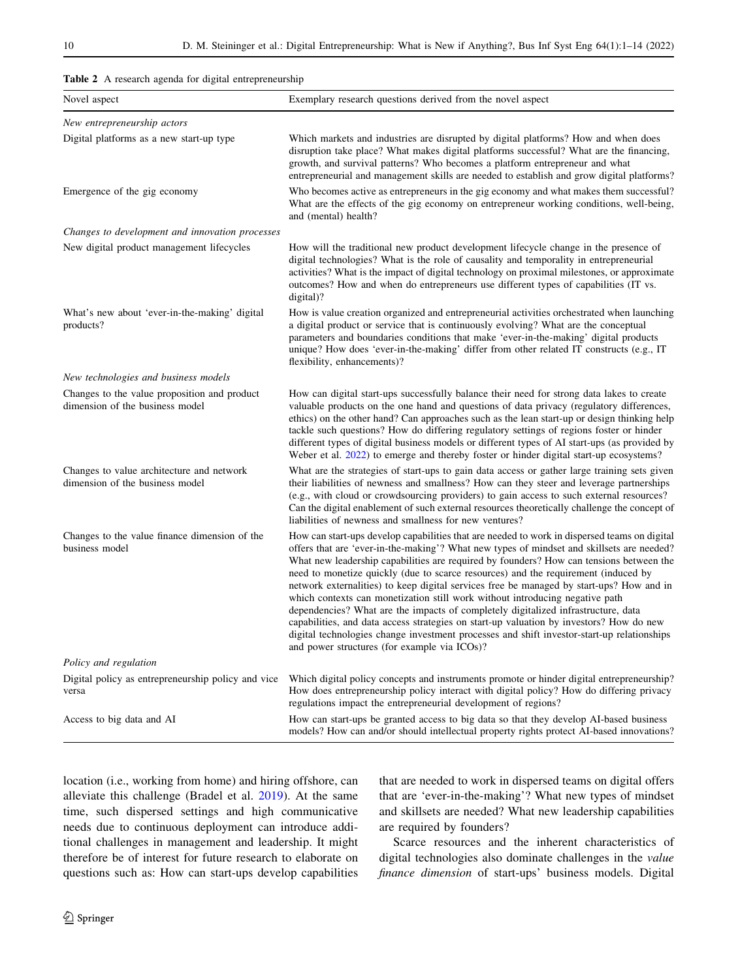<span id="page-9-0"></span>

|  |  |  |  |  | Table 2 A research agenda for digital entrepreneurship |  |
|--|--|--|--|--|--------------------------------------------------------|--|
|--|--|--|--|--|--------------------------------------------------------|--|

| Novel aspect                                                                    | Exemplary research questions derived from the novel aspect                                                                                                                                                                                                                                                                                                                                                                                                                                                                                                                                                                                                                                                                                                                                                                                                                           |
|---------------------------------------------------------------------------------|--------------------------------------------------------------------------------------------------------------------------------------------------------------------------------------------------------------------------------------------------------------------------------------------------------------------------------------------------------------------------------------------------------------------------------------------------------------------------------------------------------------------------------------------------------------------------------------------------------------------------------------------------------------------------------------------------------------------------------------------------------------------------------------------------------------------------------------------------------------------------------------|
| New entrepreneurship actors                                                     |                                                                                                                                                                                                                                                                                                                                                                                                                                                                                                                                                                                                                                                                                                                                                                                                                                                                                      |
| Digital platforms as a new start-up type                                        | Which markets and industries are disrupted by digital platforms? How and when does<br>disruption take place? What makes digital platforms successful? What are the financing,<br>growth, and survival patterns? Who becomes a platform entrepreneur and what<br>entrepreneurial and management skills are needed to establish and grow digital platforms?                                                                                                                                                                                                                                                                                                                                                                                                                                                                                                                            |
| Emergence of the gig economy                                                    | Who becomes active as entrepreneurs in the gig economy and what makes them successful?<br>What are the effects of the gig economy on entrepreneur working conditions, well-being,<br>and (mental) health?                                                                                                                                                                                                                                                                                                                                                                                                                                                                                                                                                                                                                                                                            |
| Changes to development and innovation processes                                 |                                                                                                                                                                                                                                                                                                                                                                                                                                                                                                                                                                                                                                                                                                                                                                                                                                                                                      |
| New digital product management lifecycles                                       | How will the traditional new product development lifecycle change in the presence of<br>digital technologies? What is the role of causality and temporality in entrepreneurial<br>activities? What is the impact of digital technology on proximal milestones, or approximate<br>outcomes? How and when do entrepreneurs use different types of capabilities (IT vs.<br>digital)?                                                                                                                                                                                                                                                                                                                                                                                                                                                                                                    |
| What's new about 'ever-in-the-making' digital<br>products?                      | How is value creation organized and entrepreneurial activities orchestrated when launching<br>a digital product or service that is continuously evolving? What are the conceptual<br>parameters and boundaries conditions that make 'ever-in-the-making' digital products<br>unique? How does 'ever-in-the-making' differ from other related IT constructs (e.g., IT<br>flexibility, enhancements)?                                                                                                                                                                                                                                                                                                                                                                                                                                                                                  |
| New technologies and business models                                            |                                                                                                                                                                                                                                                                                                                                                                                                                                                                                                                                                                                                                                                                                                                                                                                                                                                                                      |
| Changes to the value proposition and product<br>dimension of the business model | How can digital start-ups successfully balance their need for strong data lakes to create<br>valuable products on the one hand and questions of data privacy (regulatory differences,<br>ethics) on the other hand? Can approaches such as the lean start-up or design thinking help<br>tackle such questions? How do differing regulatory settings of regions foster or hinder<br>different types of digital business models or different types of AI start-ups (as provided by<br>Weber et al. 2022) to emerge and thereby foster or hinder digital start-up ecosystems?                                                                                                                                                                                                                                                                                                           |
| Changes to value architecture and network<br>dimension of the business model    | What are the strategies of start-ups to gain data access or gather large training sets given<br>their liabilities of newness and smallness? How can they steer and leverage partnerships<br>(e.g., with cloud or crowdsourcing providers) to gain access to such external resources?<br>Can the digital enablement of such external resources theoretically challenge the concept of<br>liabilities of newness and smallness for new ventures?                                                                                                                                                                                                                                                                                                                                                                                                                                       |
| Changes to the value finance dimension of the<br>business model                 | How can start-ups develop capabilities that are needed to work in dispersed teams on digital<br>offers that are 'ever-in-the-making'? What new types of mindset and skillsets are needed?<br>What new leadership capabilities are required by founders? How can tensions between the<br>need to monetize quickly (due to scarce resources) and the requirement (induced by<br>network externalities) to keep digital services free be managed by start-ups? How and in<br>which contexts can monetization still work without introducing negative path<br>dependencies? What are the impacts of completely digitalized infrastructure, data<br>capabilities, and data access strategies on start-up valuation by investors? How do new<br>digital technologies change investment processes and shift investor-start-up relationships<br>and power structures (for example via ICOs)? |
| Policy and regulation                                                           |                                                                                                                                                                                                                                                                                                                                                                                                                                                                                                                                                                                                                                                                                                                                                                                                                                                                                      |
| Digital policy as entrepreneurship policy and vice<br>versa                     | Which digital policy concepts and instruments promote or hinder digital entrepreneurship?<br>How does entrepreneurship policy interact with digital policy? How do differing privacy<br>regulations impact the entrepreneurial development of regions?                                                                                                                                                                                                                                                                                                                                                                                                                                                                                                                                                                                                                               |
| Access to big data and AI                                                       | How can start-ups be granted access to big data so that they develop AI-based business<br>models? How can and/or should intellectual property rights protect AI-based innovations?                                                                                                                                                                                                                                                                                                                                                                                                                                                                                                                                                                                                                                                                                                   |

location (i.e., working from home) and hiring offshore, can alleviate this challenge (Bradel et al. [2019\)](#page-11-0). At the same time, such dispersed settings and high communicative needs due to continuous deployment can introduce additional challenges in management and leadership. It might therefore be of interest for future research to elaborate on questions such as: How can start-ups develop capabilities that are needed to work in dispersed teams on digital offers that are 'ever-in-the-making'? What new types of mindset and skillsets are needed? What new leadership capabilities are required by founders?

Scarce resources and the inherent characteristics of digital technologies also dominate challenges in the value finance dimension of start-ups' business models. Digital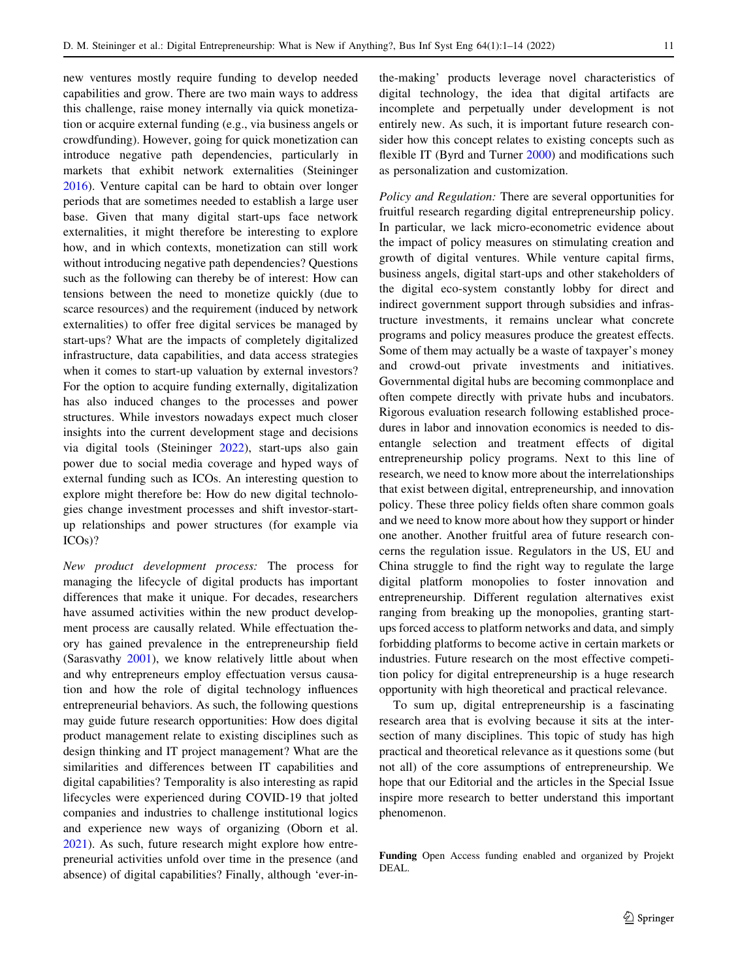new ventures mostly require funding to develop needed capabilities and grow. There are two main ways to address this challenge, raise money internally via quick monetization or acquire external funding (e.g., via business angels or crowdfunding). However, going for quick monetization can introduce negative path dependencies, particularly in markets that exhibit network externalities (Steininger [2016\)](#page-12-0). Venture capital can be hard to obtain over longer periods that are sometimes needed to establish a large user base. Given that many digital start-ups face network externalities, it might therefore be interesting to explore how, and in which contexts, monetization can still work without introducing negative path dependencies? Questions such as the following can thereby be of interest: How can tensions between the need to monetize quickly (due to scarce resources) and the requirement (induced by network externalities) to offer free digital services be managed by start-ups? What are the impacts of completely digitalized infrastructure, data capabilities, and data access strategies when it comes to start-up valuation by external investors? For the option to acquire funding externally, digitalization has also induced changes to the processes and power structures. While investors nowadays expect much closer insights into the current development stage and decisions via digital tools (Steininger [2022](#page-12-0)), start-ups also gain power due to social media coverage and hyped ways of external funding such as ICOs. An interesting question to explore might therefore be: How do new digital technologies change investment processes and shift investor-startup relationships and power structures (for example via ICOs)?

New product development process: The process for managing the lifecycle of digital products has important differences that make it unique. For decades, researchers have assumed activities within the new product development process are causally related. While effectuation theory has gained prevalence in the entrepreneurship field (Sarasvathy [2001\)](#page-12-0), we know relatively little about when and why entrepreneurs employ effectuation versus causation and how the role of digital technology influences entrepreneurial behaviors. As such, the following questions may guide future research opportunities: How does digital product management relate to existing disciplines such as design thinking and IT project management? What are the similarities and differences between IT capabilities and digital capabilities? Temporality is also interesting as rapid lifecycles were experienced during COVID-19 that jolted companies and industries to challenge institutional logics and experience new ways of organizing (Oborn et al. [2021\)](#page-12-0). As such, future research might explore how entrepreneurial activities unfold over time in the presence (and absence) of digital capabilities? Finally, although 'ever-inthe-making' products leverage novel characteristics of digital technology, the idea that digital artifacts are incomplete and perpetually under development is not entirely new. As such, it is important future research consider how this concept relates to existing concepts such as flexible IT (Byrd and Turner [2000](#page-11-0)) and modifications such as personalization and customization.

Policy and Regulation: There are several opportunities for fruitful research regarding digital entrepreneurship policy. In particular, we lack micro-econometric evidence about the impact of policy measures on stimulating creation and growth of digital ventures. While venture capital firms, business angels, digital start-ups and other stakeholders of the digital eco-system constantly lobby for direct and indirect government support through subsidies and infrastructure investments, it remains unclear what concrete programs and policy measures produce the greatest effects. Some of them may actually be a waste of taxpayer's money and crowd-out private investments and initiatives. Governmental digital hubs are becoming commonplace and often compete directly with private hubs and incubators. Rigorous evaluation research following established procedures in labor and innovation economics is needed to disentangle selection and treatment effects of digital entrepreneurship policy programs. Next to this line of research, we need to know more about the interrelationships that exist between digital, entrepreneurship, and innovation policy. These three policy fields often share common goals and we need to know more about how they support or hinder one another. Another fruitful area of future research concerns the regulation issue. Regulators in the US, EU and China struggle to find the right way to regulate the large digital platform monopolies to foster innovation and entrepreneurship. Different regulation alternatives exist ranging from breaking up the monopolies, granting startups forced access to platform networks and data, and simply forbidding platforms to become active in certain markets or industries. Future research on the most effective competition policy for digital entrepreneurship is a huge research opportunity with high theoretical and practical relevance.

To sum up, digital entrepreneurship is a fascinating research area that is evolving because it sits at the intersection of many disciplines. This topic of study has high practical and theoretical relevance as it questions some (but not all) of the core assumptions of entrepreneurship. We hope that our Editorial and the articles in the Special Issue inspire more research to better understand this important phenomenon.

Funding Open Access funding enabled and organized by Projekt DEAL.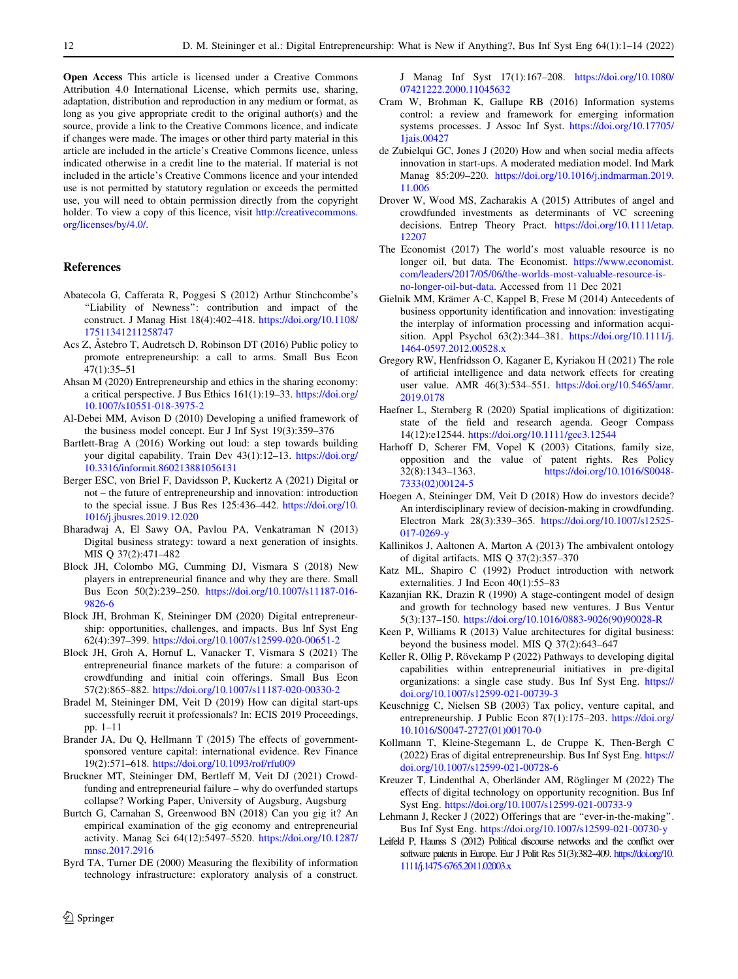<span id="page-11-0"></span>Open Access This article is licensed under a Creative Commons Attribution 4.0 International License, which permits use, sharing, adaptation, distribution and reproduction in any medium or format, as long as you give appropriate credit to the original author(s) and the source, provide a link to the Creative Commons licence, and indicate if changes were made. The images or other third party material in this article are included in the article's Creative Commons licence, unless indicated otherwise in a credit line to the material. If material is not included in the article's Creative Commons licence and your intended use is not permitted by statutory regulation or exceeds the permitted use, you will need to obtain permission directly from the copyright holder. To view a copy of this licence, visit [http://creativecommons.](http://creativecommons.org/licenses/by/4.0/) [org/licenses/by/4.0/.](http://creativecommons.org/licenses/by/4.0/)

### References

- Abatecola G, Cafferata R, Poggesi S (2012) Arthur Stinchcombe's ''Liability of Newness'': contribution and impact of the construct. J Manag Hist 18(4):402–418. [https://doi.org/10.1108/](https://doi.org/10.1108/17511341211258747) [17511341211258747](https://doi.org/10.1108/17511341211258747)
- Acs Z, Astebro T, Audretsch D, Robinson DT (2016) Public policy to promote entrepreneurship: a call to arms. Small Bus Econ 47(1):35–51
- Ahsan M (2020) Entrepreneurship and ethics in the sharing economy: a critical perspective. J Bus Ethics 161(1):19–33. [https://doi.org/](https://doi.org/10.1007/s10551-018-3975-2) [10.1007/s10551-018-3975-2](https://doi.org/10.1007/s10551-018-3975-2)
- Al-Debei MM, Avison D (2010) Developing a unified framework of the business model concept. Eur J Inf Syst 19(3):359–376
- Bartlett-Brag A (2016) Working out loud: a step towards building your digital capability. Train Dev 43(1):12–13. [https://doi.org/](https://doi.org/10.3316/informit.860213881056131) [10.3316/informit.860213881056131](https://doi.org/10.3316/informit.860213881056131)
- Berger ESC, von Briel F, Davidsson P, Kuckertz A (2021) Digital or not – the future of entrepreneurship and innovation: introduction to the special issue. J Bus Res 125:436–442. [https://doi.org/10.](https://doi.org/10.1016/j.jbusres.2019.12.020) [1016/j.jbusres.2019.12.020](https://doi.org/10.1016/j.jbusres.2019.12.020)
- Bharadwaj A, El Sawy OA, Pavlou PA, Venkatraman N (2013) Digital business strategy: toward a next generation of insights. MIS Q 37(2):471–482
- Block JH, Colombo MG, Cumming DJ, Vismara S (2018) New players in entrepreneurial finance and why they are there. Small Bus Econ 50(2):239–250. [https://doi.org/10.1007/s11187-016-](https://doi.org/10.1007/s11187-016-9826-6) [9826-6](https://doi.org/10.1007/s11187-016-9826-6)
- Block JH, Brohman K, Steininger DM (2020) Digital entrepreneurship: opportunities, challenges, and impacts. Bus Inf Syst Eng 62(4):397–399. <https://doi.org/10.1007/s12599-020-00651-2>
- Block JH, Groh A, Hornuf L, Vanacker T, Vismara S (2021) The entrepreneurial finance markets of the future: a comparison of crowdfunding and initial coin offerings. Small Bus Econ 57(2):865–882. <https://doi.org/10.1007/s11187-020-00330-2>
- Bradel M, Steininger DM, Veit D (2019) How can digital start-ups successfully recruit it professionals? In: ECIS 2019 Proceedings, pp. 1–11
- Brander JA, Du Q, Hellmann T (2015) The effects of governmentsponsored venture capital: international evidence. Rev Finance 19(2):571–618. <https://doi.org/10.1093/rof/rfu009>
- Bruckner MT, Steininger DM, Bertleff M, Veit DJ (2021) Crowdfunding and entrepreneurial failure – why do overfunded startups collapse? Working Paper, University of Augsburg, Augsburg
- Burtch G, Carnahan S, Greenwood BN (2018) Can you gig it? An empirical examination of the gig economy and entrepreneurial activity. Manag Sci 64(12):5497–5520. [https://doi.org/10.1287/](https://doi.org/10.1287/mnsc.2017.2916) [mnsc.2017.2916](https://doi.org/10.1287/mnsc.2017.2916)
- Byrd TA, Turner DE (2000) Measuring the flexibility of information technology infrastructure: exploratory analysis of a construct.

 $\textcircled{2}$  Springer

J Manag Inf Syst 17(1):167–208. [https://doi.org/10.1080/](https://doi.org/10.1080/07421222.2000.11045632) [07421222.2000.11045632](https://doi.org/10.1080/07421222.2000.11045632)

- Cram W, Brohman K, Gallupe RB (2016) Information systems control: a review and framework for emerging information systems processes. J Assoc Inf Syst. [https://doi.org/10.17705/](https://doi.org/10.17705/1jais.00427) [1jais.00427](https://doi.org/10.17705/1jais.00427)
- de Zubielqui GC, Jones J (2020) How and when social media affects innovation in start-ups. A moderated mediation model. Ind Mark Manag 85:209–220. [https://doi.org/10.1016/j.indmarman.2019.](https://doi.org/10.1016/j.indmarman.2019.11.006) [11.006](https://doi.org/10.1016/j.indmarman.2019.11.006)
- Drover W, Wood MS, Zacharakis A (2015) Attributes of angel and crowdfunded investments as determinants of VC screening decisions. Entrep Theory Pract. [https://doi.org/10.1111/etap.](https://doi.org/10.1111/etap.12207) [12207](https://doi.org/10.1111/etap.12207)
- The Economist (2017) The world's most valuable resource is no longer oil, but data. The Economist. [https://www.economist.](https://www.economist.com/leaders/2017/05/06/the-worlds-most-valuable-resource-is-no-longer-oil-but-data) [com/leaders/2017/05/06/the-worlds-most-valuable-resource-is](https://www.economist.com/leaders/2017/05/06/the-worlds-most-valuable-resource-is-no-longer-oil-but-data)[no-longer-oil-but-data.](https://www.economist.com/leaders/2017/05/06/the-worlds-most-valuable-resource-is-no-longer-oil-but-data) Accessed from 11 Dec 2021
- Gielnik MM, Krämer A-C, Kappel B, Frese M (2014) Antecedents of business opportunity identification and innovation: investigating the interplay of information processing and information acquisition. Appl Psychol 63(2):344–381. [https://doi.org/10.1111/j.](https://doi.org/10.1111/j.1464-0597.2012.00528.x) [1464-0597.2012.00528.x](https://doi.org/10.1111/j.1464-0597.2012.00528.x)
- Gregory RW, Henfridsson O, Kaganer E, Kyriakou H (2021) The role of artificial intelligence and data network effects for creating user value. AMR 46(3):534–551. [https://doi.org/10.5465/amr.](https://doi.org/10.5465/amr.2019.0178) [2019.0178](https://doi.org/10.5465/amr.2019.0178)
- Haefner L, Sternberg R (2020) Spatial implications of digitization: state of the field and research agenda. Geogr Compass 14(12):e12544. <https://doi.org/10.1111/gec3.12544>
- Harhoff D, Scherer FM, Vopel K (2003) Citations, family size, opposition and the value of patent rights. Res Policy 32(8):1343–1363. [https://doi.org/10.1016/S0048-](https://doi.org/10.1016/S0048-7333(02)00124-5) [7333\(02\)00124-5](https://doi.org/10.1016/S0048-7333(02)00124-5)
- Hoegen A, Steininger DM, Veit D (2018) How do investors decide? An interdisciplinary review of decision-making in crowdfunding. Electron Mark 28(3):339–365. [https://doi.org/10.1007/s12525-](https://doi.org/10.1007/s12525-017-0269-y) [017-0269-y](https://doi.org/10.1007/s12525-017-0269-y)
- Kallinikos J, Aaltonen A, Marton A (2013) The ambivalent ontology of digital artifacts. MIS Q 37(2):357–370
- Katz ML, Shapiro C (1992) Product introduction with network externalities. J Ind Econ 40(1):55–83
- Kazanjian RK, Drazin R (1990) A stage-contingent model of design and growth for technology based new ventures. J Bus Ventur 5(3):137–150. [https://doi.org/10.1016/0883-9026\(90\)90028-R](https://doi.org/10.1016/0883-9026(90)90028-R)
- Keen P, Williams R (2013) Value architectures for digital business: beyond the business model. MIS Q 37(2):643–647
- Keller R, Ollig P, Rövekamp P (2022) Pathways to developing digital capabilities within entrepreneurial initiatives in pre-digital organizations: a single case study. Bus Inf Syst Eng. [https://](https://doi.org/10.1007/s12599-021-00739-3) [doi.org/10.1007/s12599-021-00739-3](https://doi.org/10.1007/s12599-021-00739-3)
- Keuschnigg C, Nielsen SB (2003) Tax policy, venture capital, and entrepreneurship. J Public Econ 87(1):175–203. [https://doi.org/](https://doi.org/10.1016/S0047-2727(01)00170-0) [10.1016/S0047-2727\(01\)00170-0](https://doi.org/10.1016/S0047-2727(01)00170-0)
- Kollmann T, Kleine-Stegemann L, de Cruppe K, Then-Bergh C (2022) Eras of digital entrepreneurship. Bus Inf Syst Eng. [https://](https://doi.org/10.1007/s12599-021-00728-6) [doi.org/10.1007/s12599-021-00728-6](https://doi.org/10.1007/s12599-021-00728-6)
- Kreuzer T, Lindenthal A, Oberländer AM, Röglinger M (2022) The effects of digital technology on opportunity recognition. Bus Inf Syst Eng. <https://doi.org/10.1007/s12599-021-00733-9>
- Lehmann J, Recker J (2022) Offerings that are ''ever-in-the-making''. Bus Inf Syst Eng. <https://doi.org/10.1007/s12599-021-00730-y>
- Leifeld P, Haunss S (2012) Political discourse networks and the conflict over software patents in Europe. Eur J Polit Res 51(3):382–409. [https://doi.org/10.](https://doi.org/10.1111/j.1475-6765.2011.02003.x) [1111/j.1475-6765.2011.02003.x](https://doi.org/10.1111/j.1475-6765.2011.02003.x)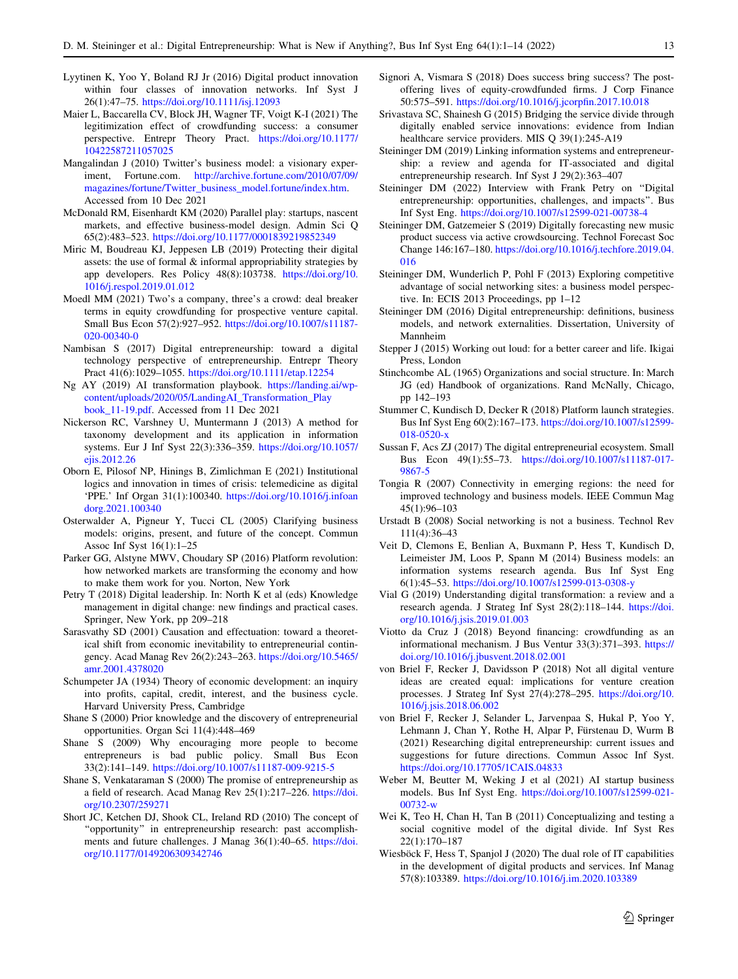- <span id="page-12-0"></span>Lyytinen K, Yoo Y, Boland RJ Jr (2016) Digital product innovation within four classes of innovation networks. Inf Syst J 26(1):47–75. <https://doi.org/10.1111/isj.12093>
- Maier L, Baccarella CV, Block JH, Wagner TF, Voigt K-I (2021) The legitimization effect of crowdfunding success: a consumer perspective. Entrepr Theory Pract. [https://doi.org/10.1177/](https://doi.org/10.1177/10422587211057025) [10422587211057025](https://doi.org/10.1177/10422587211057025)
- Mangalindan J (2010) Twitter's business model: a visionary experiment, Fortune.com. [http://archive.fortune.com/2010/07/09/](http://archive.fortune.com/2010/07/09/magazines/fortune/Twitter_business_model.fortune/index.htm) [magazines/fortune/Twitter\\_business\\_model.fortune/index.htm.](http://archive.fortune.com/2010/07/09/magazines/fortune/Twitter_business_model.fortune/index.htm) Accessed from 10 Dec 2021
- McDonald RM, Eisenhardt KM (2020) Parallel play: startups, nascent markets, and effective business-model design. Admin Sci Q 65(2):483–523. <https://doi.org/10.1177/0001839219852349>
- Miric M, Boudreau KJ, Jeppesen LB (2019) Protecting their digital assets: the use of formal & informal appropriability strategies by app developers. Res Policy 48(8):103738. [https://doi.org/10.](https://doi.org/10.1016/j.respol.2019.01.012) [1016/j.respol.2019.01.012](https://doi.org/10.1016/j.respol.2019.01.012)
- Moedl MM (2021) Two's a company, three's a crowd: deal breaker terms in equity crowdfunding for prospective venture capital. Small Bus Econ 57(2):927–952. [https://doi.org/10.1007/s11187-](https://doi.org/10.1007/s11187-020-00340-0) [020-00340-0](https://doi.org/10.1007/s11187-020-00340-0)
- Nambisan S (2017) Digital entrepreneurship: toward a digital technology perspective of entrepreneurship. Entrepr Theory Pract 41(6):1029–1055. <https://doi.org/10.1111/etap.12254>
- Ng AY (2019) AI transformation playbook. [https://landing.ai/wp](https://landing.ai/wp-content/uploads/2020/05/LandingAI_Transformation_Playbook_11-19.pdf)[content/uploads/2020/05/LandingAI\\_Transformation\\_Play](https://landing.ai/wp-content/uploads/2020/05/LandingAI_Transformation_Playbook_11-19.pdf) [book\\_11-19.pdf](https://landing.ai/wp-content/uploads/2020/05/LandingAI_Transformation_Playbook_11-19.pdf). Accessed from 11 Dec 2021
- Nickerson RC, Varshney U, Muntermann J (2013) A method for taxonomy development and its application in information systems. Eur J Inf Syst 22(3):336–359. [https://doi.org/10.1057/](https://doi.org/10.1057/ejis.2012.26) [ejis.2012.26](https://doi.org/10.1057/ejis.2012.26)
- Oborn E, Pilosof NP, Hinings B, Zimlichman E (2021) Institutional logics and innovation in times of crisis: telemedicine as digital 'PPE.' Inf Organ 31(1):100340. [https://doi.org/10.1016/j.infoan](https://doi.org/10.1016/j.infoandorg.2021.100340) [dorg.2021.100340](https://doi.org/10.1016/j.infoandorg.2021.100340)
- Osterwalder A, Pigneur Y, Tucci CL (2005) Clarifying business models: origins, present, and future of the concept. Commun Assoc Inf Syst 16(1):1–25
- Parker GG, Alstyne MWV, Choudary SP (2016) Platform revolution: how networked markets are transforming the economy and how to make them work for you. Norton, New York
- Petry T (2018) Digital leadership. In: North K et al (eds) Knowledge management in digital change: new findings and practical cases. Springer, New York, pp 209–218
- Sarasvathy SD (2001) Causation and effectuation: toward a theoretical shift from economic inevitability to entrepreneurial contingency. Acad Manag Rev 26(2):243–263. [https://doi.org/10.5465/](https://doi.org/10.5465/amr.2001.4378020) [amr.2001.4378020](https://doi.org/10.5465/amr.2001.4378020)
- Schumpeter JA (1934) Theory of economic development: an inquiry into profits, capital, credit, interest, and the business cycle. Harvard University Press, Cambridge
- Shane S (2000) Prior knowledge and the discovery of entrepreneurial opportunities. Organ Sci 11(4):448–469
- Shane S (2009) Why encouraging more people to become entrepreneurs is bad public policy. Small Bus Econ 33(2):141–149. <https://doi.org/10.1007/s11187-009-9215-5>
- Shane S, Venkataraman S (2000) The promise of entrepreneurship as a field of research. Acad Manag Rev 25(1):217–226. [https://doi.](https://doi.org/10.2307/259271) [org/10.2307/259271](https://doi.org/10.2307/259271)
- Short JC, Ketchen DJ, Shook CL, Ireland RD (2010) The concept of "opportunity" in entrepreneurship research: past accomplishments and future challenges. J Manag 36(1):40–65. [https://doi.](https://doi.org/10.1177/0149206309342746) [org/10.1177/0149206309342746](https://doi.org/10.1177/0149206309342746)
- Signori A, Vismara S (2018) Does success bring success? The postoffering lives of equity-crowdfunded firms. J Corp Finance 50:575–591. <https://doi.org/10.1016/j.jcorpfin.2017.10.018>
- Srivastava SC, Shainesh G (2015) Bridging the service divide through digitally enabled service innovations: evidence from Indian healthcare service providers. MIS Q 39(1):245-A19
- Steininger DM (2019) Linking information systems and entrepreneurship: a review and agenda for IT-associated and digital entrepreneurship research. Inf Syst J 29(2):363–407
- Steininger DM (2022) Interview with Frank Petry on ''Digital entrepreneurship: opportunities, challenges, and impacts''. Bus Inf Syst Eng. <https://doi.org/10.1007/s12599-021-00738-4>
- Steininger DM, Gatzemeier S (2019) Digitally forecasting new music product success via active crowdsourcing. Technol Forecast Soc Change 146:167–180. [https://doi.org/10.1016/j.techfore.2019.04.](https://doi.org/10.1016/j.techfore.2019.04.016) [016](https://doi.org/10.1016/j.techfore.2019.04.016)
- Steininger DM, Wunderlich P, Pohl F (2013) Exploring competitive advantage of social networking sites: a business model perspective. In: ECIS 2013 Proceedings, pp 1–12
- Steininger DM (2016) Digital entrepreneurship: definitions, business models, and network externalities. Dissertation, University of Mannheim
- Stepper J (2015) Working out loud: for a better career and life. Ikigai Press, London
- Stinchcombe AL (1965) Organizations and social structure. In: March JG (ed) Handbook of organizations. Rand McNally, Chicago, pp 142–193
- Stummer C, Kundisch D, Decker R (2018) Platform launch strategies. Bus Inf Syst Eng 60(2):167–173. [https://doi.org/10.1007/s12599-](https://doi.org/10.1007/s12599-018-0520-x) [018-0520-x](https://doi.org/10.1007/s12599-018-0520-x)
- Sussan F, Acs ZJ (2017) The digital entrepreneurial ecosystem. Small Bus Econ 49(1):55–73. [https://doi.org/10.1007/s11187-017-](https://doi.org/10.1007/s11187-017-9867-5) [9867-5](https://doi.org/10.1007/s11187-017-9867-5)
- Tongia R (2007) Connectivity in emerging regions: the need for improved technology and business models. IEEE Commun Mag 45(1):96–103
- Urstadt B (2008) Social networking is not a business. Technol Rev 111(4):36–43
- Veit D, Clemons E, Benlian A, Buxmann P, Hess T, Kundisch D, Leimeister JM, Loos P, Spann M (2014) Business models: an information systems research agenda. Bus Inf Syst Eng 6(1):45–53. <https://doi.org/10.1007/s12599-013-0308-y>
- Vial G (2019) Understanding digital transformation: a review and a research agenda. J Strateg Inf Syst 28(2):118–144. [https://doi.](https://doi.org/10.1016/j.jsis.2019.01.003) [org/10.1016/j.jsis.2019.01.003](https://doi.org/10.1016/j.jsis.2019.01.003)
- Viotto da Cruz J (2018) Beyond financing: crowdfunding as an informational mechanism. J Bus Ventur 33(3):371–393. [https://](https://doi.org/10.1016/j.jbusvent.2018.02.001) [doi.org/10.1016/j.jbusvent.2018.02.001](https://doi.org/10.1016/j.jbusvent.2018.02.001)
- von Briel F, Recker J, Davidsson P (2018) Not all digital venture ideas are created equal: implications for venture creation processes. J Strateg Inf Syst 27(4):278–295. [https://doi.org/10.](https://doi.org/10.1016/j.jsis.2018.06.002) [1016/j.jsis.2018.06.002](https://doi.org/10.1016/j.jsis.2018.06.002)
- von Briel F, Recker J, Selander L, Jarvenpaa S, Hukal P, Yoo Y, Lehmann J, Chan Y, Rothe H, Alpar P, Fürstenau D, Wurm B (2021) Researching digital entrepreneurship: current issues and suggestions for future directions. Commun Assoc Inf Syst. <https://doi.org/10.17705/1CAIS.04833>
- Weber M, Beutter M, Weking J et al (2021) AI startup business models. Bus Inf Syst Eng. [https://doi.org/10.1007/s12599-021-](https://doi.org/10.1007/s12599-021-00732-w) [00732-w](https://doi.org/10.1007/s12599-021-00732-w)
- Wei K, Teo H, Chan H, Tan B (2011) Conceptualizing and testing a social cognitive model of the digital divide. Inf Syst Res 22(1):170–187
- Wiesböck F, Hess T, Spanjol J (2020) The dual role of IT capabilities in the development of digital products and services. Inf Manag 57(8):103389. <https://doi.org/10.1016/j.im.2020.103389>